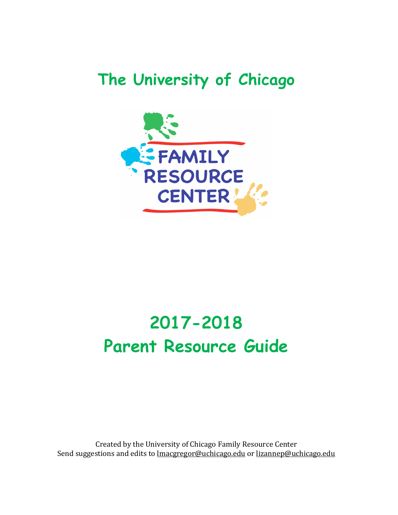## **The University of Chicago**



# **2017-2018 Parent Resource Guide**

Created by the University of Chicago Family Resource Center Send suggestions and edits to lmacgregor@uchicago.edu or lizannep@uchicago.edu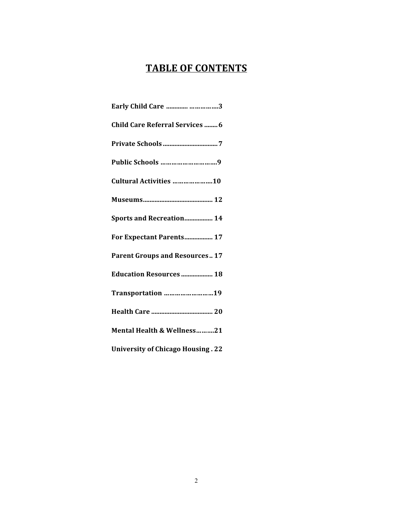## **TABLE OF CONTENTS**

| Early Child Care  3                      |
|------------------------------------------|
| <b>Child Care Referral Services  6</b>   |
|                                          |
| Public Schools 9                         |
| Cultural Activities 10                   |
|                                          |
| <b>Sports and Recreation 14</b>          |
| For Expectant Parents 17                 |
| <b>Parent Groups and Resources 17</b>    |
| <b>Education Resources  18</b>           |
| Transportation 19                        |
|                                          |
| Mental Health & Wellness21               |
| <b>University of Chicago Housing. 22</b> |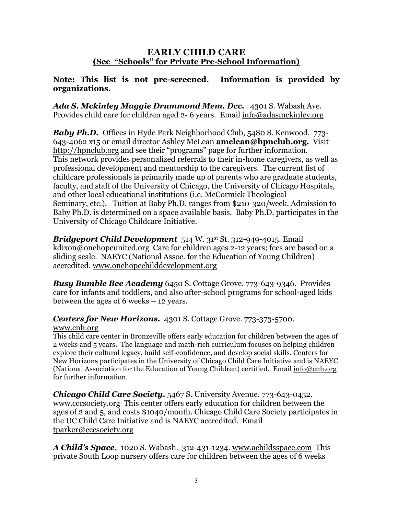#### **EARLY CHILD CARE (See "Schools" for Private Pre-School Information)**

#### **Note: This list is not pre-screened. Information is provided by organizations.**

*Ada S. Mckinley Maggie Drummond Mem. Dcc.* 4301 S. Wabash Ave. Provides child care for children aged 2- 6 years. Email info@adasmckinley.org

*Baby Ph.D.* Offices in Hyde Park Neighborhood Club, 5480 S. Kenwood. 773-643-4062 x15 or email director Ashley McLean **amclean@hpnclub.org.** Visit http://hpnclub.org and see their "programs" page for further information. This network provides personalized referrals to their in-home caregivers, as well as professional development and mentorship to the caregivers. The current list of childcare professionals is primarily made up of parents who are graduate students, faculty, and staff of the University of Chicago, the University of Chicago Hospitals, and other local educational institutions (i.e. McCormick Theological Seminary, etc.). Tuition at Baby Ph.D. ranges from \$210-320/week. Admission to Baby Ph.D. is determined on a space available basis. Baby Ph.D. participates in the University of Chicago Childcare Initiative.

**Bridgeport Child Development** 514 W. 31st St. 312-949-4015. Email kdixon@onehopeunited.org Care for children ages 2-12 years; fees are based on a sliding scale. NAEYC (National Assoc. for the Education of Young Children) accredited. www.onehopechilddevelopment.org

*Busy Bumble Bee Academy* 6450 S. Cottage Grove. 773-643-9346. Provides care for infants and toddlers, and also after-school programs for school-aged kids between the ages of 6 weeks – 12 years.

*Centers for New Horizons.* 4301 S. Cottage Grove. 773-373-5700. www.cnh.org

This child care center in Bronzeville offers early education for children between the ages of 2 weeks and 5 years. The language and math-rich curriculum focuses on helping children explore their cultural legacy, build self-confidence, and develop social skills. Centers for New Horizons participates in the University of Chicago Child Care Initiative and is NAEYC (National Association for the Education of Young Children) certified. Email info@cnh.org for further information.

*Chicago Child Care Society.* 5467 S. University Avenue. 773-643-0452. www.cccsociety.org This center offers early education for children between the ages of 2 and 5, and costs \$1040/month. Chicago Child Care Society participates in the UC Child Care Initiative and is NAEYC accredited. Email tparker@cccsociety.org

*A Child's Space.* 1020 S. Wabash. 312-431-1234. www.achildsspace.com This private South Loop nursery offers care for children between the ages of 6 weeks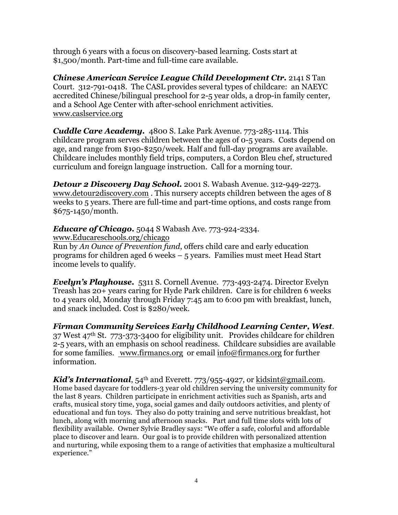through 6 years with a focus on discovery-based learning. Costs start at \$1,500/month. Part-time and full-time care available.

*Chinese American Service League Child Development Ctr.* 2141 S Tan Court. 312-791-0418. The CASL provides several types of childcare: an NAEYC accredited Chinese/bilingual preschool for 2-5 year olds, a drop-in family center, and a School Age Center with after-school enrichment activities. www.caslservice.org

*Cuddle Care Academy.*4800 S. Lake Park Avenue. 773-285-1114. This childcare program serves children between the ages of 0-5 years. Costs depend on age, and range from \$190-\$250/week. Half and full-day programs are available. Childcare includes monthly field trips, computers, a Cordon Bleu chef, structured curriculum and foreign language instruction. Call for a morning tour.

*Detour 2 Discovery Day School.* 2001 S. Wabash Avenue. 312-949-2273. www.detour2discovery.com . This nursery accepts children between the ages of 8 weeks to 5 years. There are full-time and part-time options, and costs range from \$675-1450/month.

*Educare of Chicago.* 5044 S Wabash Ave. 773-924-2334.

www.Educareschools.org/chicago

Run by *An Ounce of Prevention fund*, offers child care and early education programs for children aged 6 weeks – 5 years. Families must meet Head Start income levels to qualify.

*Evelyn's Playhouse.* 5311 S. Cornell Avenue. 773-493-2474. Director Evelyn Treash has 20+ years caring for Hyde Park children. Care is for children 6 weeks to 4 years old, Monday through Friday 7:45 am to 6:00 pm with breakfast, lunch, and snack included. Cost is \$280/week.

*Firman Community Services Early Childhood Learning Center, West*. 37 West 47th St. 773-373-3400 for eligibility unit. Provides childcare for children 2-5 years, with an emphasis on school readiness. Childcare subsidies are available for some families. www.firmancs.org or email info@firmancs.org for further information.

*Kid's International*, 54<sup>th</sup> and Everett. 773/955-4927, or kidsint@gmail.com. Home based daycare for toddlers-3 year old children serving the university community for the last 8 years. Children participate in enrichment activities such as Spanish, arts and crafts, musical story time, yoga, social games and daily outdoors activities, and plenty of educational and fun toys. They also do potty training and serve nutritious breakfast, hot lunch, along with morning and afternoon snacks. Part and full time slots with lots of flexibility available. Owner Sylvie Bradley says: "We offer a safe, colorful and affordable place to discover and learn. Our goal is to provide children with personalized attention and nurturing, while exposing them to a range of activities that emphasize a multicultural experience."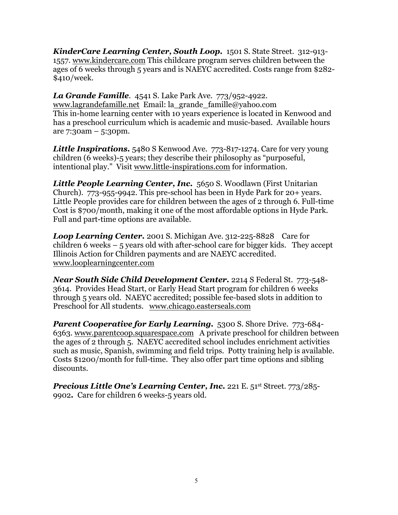*KinderCare Learning Center, South Loop.* 1501 S. State Street. 312-913- 1557. www.kindercare.com This childcare program serves children between the ages of 6 weeks through 5 years and is NAEYC accredited. Costs range from \$282- \$410/week.

*La Grande Famille.* 4541 S. Lake Park Ave. 773/952-4922. www.lagrandefamille.net Email: la\_grande\_famille@yahoo.com This in-home learning center with 10 years experience is located in Kenwood and has a preschool curriculum which is academic and music-based. Available hours are 7:30am – 5:30pm.

**Little Inspirations.** 5480 S Kenwood Ave. 773-817-1274. Care for very young children (6 weeks)-5 years; they describe their philosophy as "purposeful, intentional play." Visit www.little-inspirations.com for information.

*Little People Learning Center, Inc.* 5650 S. Woodlawn (First Unitarian Church). 773-955-9942. This pre-school has been in Hyde Park for 20+ years. Little People provides care for children between the ages of 2 through 6. Full-time Cost is \$700/month, making it one of the most affordable options in Hyde Park. Full and part-time options are available.

*Loop Learning Center.* 2001 S. Michigan Ave. 312-225-8828 Care for children 6 weeks  $-5$  years old with after-school care for bigger kids. They accept Illinois Action for Children payments and are NAEYC accredited. www.looplearningcenter.com

*Near South Side Child Development Center.* 2214 S Federal St. 773-548- 3614. Provides Head Start, or Early Head Start program for children 6 weeks through 5 years old. NAEYC accredited; possible fee-based slots in addition to Preschool for All students. www.chicago.easterseals.com

*Parent Cooperative for Early Learning.* 5300 S. Shore Drive. 773-684- 6363. www.parentcoop.squarespace.com A private preschool for children between the ages of 2 through 5. NAEYC accredited school includes enrichment activities such as music, Spanish, swimming and field trips. Potty training help is available. Costs \$1200/month for full-time. They also offer part time options and sibling discounts.

*Precious Little One's Learning Center, Inc.* 221 E. 51st Street. 773/285- 9902*.* Care for children 6 weeks-5 years old.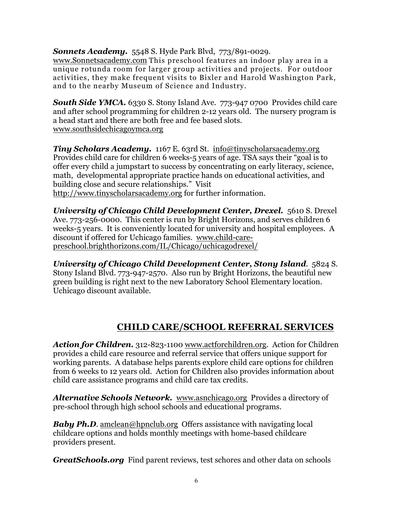*Sonnets Academy.* 5548 S. Hyde Park Blvd, 773/891-0029.

www.Sonnetsacademy.com This preschool features an indoor play area in a unique rotunda room for larger group activities and projects. For outdoor activities, they make frequent visits to Bixler and Harold Washington Park, and to the nearby Museum of Science and Industry.

**South Side YMCA.** 6330 S. Stony Island Ave. 773-947 0700 Provides child care and after school programming for children 2-12 years old. The nursery program is a head start and there are both free and fee based slots. www.southsidechicagoymca.org

*Tiny Scholars Academy.* 1167 E. 63rd St.info@tinyscholarsacademy.org Provides child care for children 6 weeks-5 years of age. TSA says their "goal is to offer every child a jumpstart to success by concentrating on early literacy, science, math, developmental appropriate practice hands on educational activities, and building close and secure relationships." Visit http://www.tinyscholarsacademy.org for further information.

*University of Chicago Child Development Center, Drexel.* 5610 S. Drexel Ave. 773-256-0000. This center is run by Bright Horizons, and serves children 6 weeks-5 years. It is conveniently located for university and hospital employees. A discount if offered for Uchicago families. www.child-carepreschool.brighthorizons.com/IL/Chicago/uchicagodrexel/

*University of Chicago Child Development Center, Stony Island.* 5824 S. Stony Island Blvd. 773-947-2570. Also run by Bright Horizons, the beautiful new green building is right next to the new Laboratory School Elementary location. Uchicago discount available.

## **CHILD CARE/SCHOOL REFERRAL SERVICES**

*Action for Children.* 312-823-1100 www.actforchildren.org. Action for Children provides a child care resource and referral service that offers unique support for working parents. A database helps parents explore child care options for children from 6 weeks to 12 years old. Action for Children also provides information about child care assistance programs and child care tax credits.

*Alternative Schools Network.* www.asnchicago.org Provides a directory of pre-school through high school schools and educational programs.

*Baby Ph.D.* amclean@hpnclub.org Offers assistance with navigating local childcare options and holds monthly meetings with home-based childcare providers present.

*GreatSchools.org* Find parent reviews, test schores and other data on schools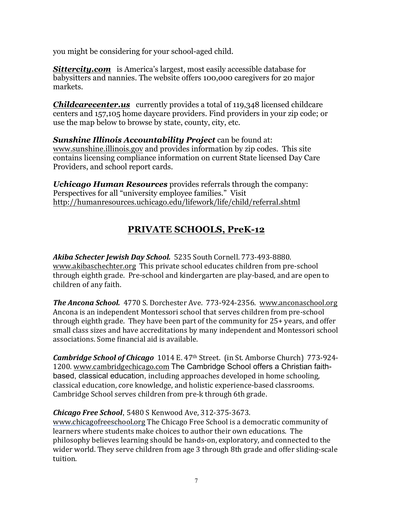you might be considering for your school-aged child.

*Sittercity.com* is America's largest, most easily accessible database for babysitters and nannies. The website offers 100,000 caregivers for 20 major markets.

*Childcarecenter.us* currently provides a total of 119,348 licensed childcare centers and 157,105 home daycare providers. Find providers in your zip code; or use the map below to browse by state, county, city, etc.

*Sunshine Illinois Accountability Project* can be found at: www.sunshine.illinois.gov and provides information by zip codes. This site contains licensing compliance information on current State licensed Day Care Providers, and school report cards.

*Uchicago Human Resources* provides referrals through the company: Perspectives for all "university employee families." Visit http://humanresources.uchicago.edu/lifework/life/child/referral.shtml

## **PRIVATE SCHOOLS, PreK-12**

Akiba Schecter *Jewish Day School.* 5235 South Cornell. 773-493-8880. www.akibaschechter.org This private school educates children from pre-school through eighth grade. Pre-school and kindergarten are play-based, and are open to children of any faith.

**The Ancona School.** 4770 S. Dorchester Ave. 773-924-2356. www.anconaschool.org Ancona is an independent Montessori school that serves children from pre-school through eighth grade. They have been part of the community for 25+ years, and offer small class sizes and have accreditations by many independent and Montessori school associations. Some financial aid is available.

**Cambridge School of Chicago** 1014 E. 47<sup>th</sup> Street. (in St. Amborse Church) 773-924-1200. www.cambridgechicago.com The Cambridge School offers a Christian faithbased, classical education, including approaches developed in home schooling, classical education, core knowledge, and holistic experience-based classrooms. Cambridge School serves children from pre-k through 6th grade.

## **Chicago Free School**, 5480 S Kenwood Ave, 312-375-3673.

www.chicagofreeschool.org The Chicago Free School is a democratic community of learners where students make choices to author their own educations. The philosophy believes learning should be hands-on, exploratory, and connected to the wider world. They serve children from age 3 through 8th grade and offer sliding-scale tuition.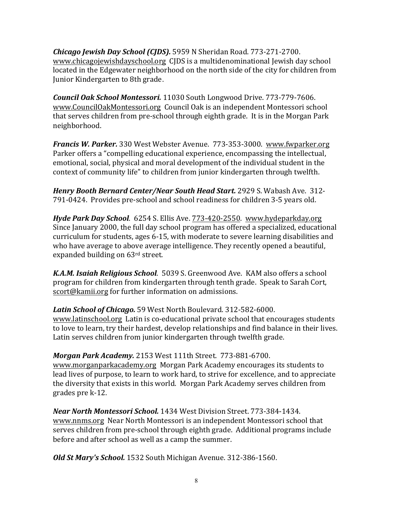*Chicago Jewish Day School (CJDS).* 5959 N Sheridan Road. 773-271-2700. www.chicagojewishdayschool.org CJDS is a multidenominational Jewish day school located in the Edgewater neighborhood on the north side of the city for children from Junior Kindergarten to 8th grade.

**Council Oak School Montessori.** 11030 South Longwood Drive. 773-779-7606. www.CouncilOakMontessori.org Council Oak is an independent Montessori school that serves children from pre-school through eighth grade. It is in the Morgan Park neighborhood.

**Francis W. Parker.** 330 West Webster Avenue. 773-353-3000. www.fwparker.org Parker offers a "compelling educational experience, encompassing the intellectual, emotional, social, physical and moral development of the individual student in the context of community life" to children from junior kindergarten through twelfth.

Henry Booth Bernard Center/Near South Head Start. 2929 S. Wabash Ave. 312-791-0424. Provides pre-school and school readiness for children 3-5 years old.

*Hyde Park Day School.* 6254 S. Ellis Ave. 773-420-2550. www.hydeparkday.org Since January 2000, the full day school program has offered a specialized, educational curriculum for students, ages 6-15, with moderate to severe learning disabilities and who have average to above average intelligence. They recently opened a beautiful, expanded building on  $63<sup>rd</sup>$  street.

**K.A.M. Isaiah Religious School.** 5039 S. Greenwood Ave. KAM also offers a school program for children from kindergarten through tenth grade. Speak to Sarah Cort, scort@kamii.org for further information on admissions.

**Latin School of Chicago.** 59 West North Boulevard. 312-582-6000. www.latinschool.org Latin is co-educational private school that encourages students to love to learn, try their hardest, develop relationships and find balance in their lives. Latin serves children from junior kindergarten through twelfth grade.

## *Morgan Park Academy.* 2153 West 111th Street. 773-881-6700.

www.morganparkacademy.org Morgan Park Academy encourages its students to lead lives of purpose, to learn to work hard, to strive for excellence, and to appreciate the diversity that exists in this world. Morgan Park Academy serves children from grades pre k-12.

Near North Montessori School. 1434 West Division Street. 773-384-1434. www.nnms.org Near North Montessori is an independent Montessori school that serves children from pre-school through eighth grade. Additional programs include before and after school as well as a camp the summer.

*Old St Mary's School.* 1532 South Michigan Avenue. 312-386-1560.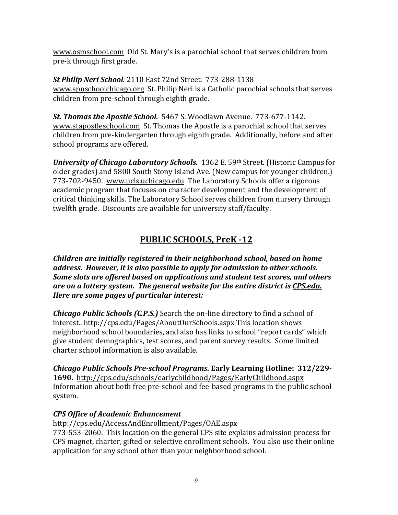www.osmschool.com Old St. Mary's is a parochial school that serves children from pre-k through first grade.

**St Philip Neri School.** 2110 East 72nd Street. 773-288-1138 www.spnschoolchicago.org St. Philip Neri is a Catholic parochial schools that serves children from pre-school through eighth grade.

**St. Thomas the Apostle School.** 5467 S. Woodlawn Avenue. 773-677-1142. www.stapostleschool.com St. Thomas the Apostle is a parochial school that serves children from pre-kindergarten through eighth grade. Additionally, before and after school programs are offered.

*University of Chicago Laboratory Schools.* 1362 E. 59th Street. (Historic Campus for older grades) and 5800 South Stony Island Ave. (New campus for younger children.) 773-702-9450. www.ucls.uchicago.edu The Laboratory Schools offer a rigorous academic program that focuses on character development and the development of critical thinking skills. The Laboratory School serves children from nursery through twelfth grade. Discounts are available for university staff/faculty.

## PUBLIC SCHOOLS, PreK -12

*Children are initially registered in their neighborhood school, based on home address. However, it is also possible to apply for admission to other schools. Some slots are offered based on applications and student test scores, and others* are on a lottery system. The general website for the entire district is CPS.edu. Here are some pages of particular interest:

**Chicago Public Schools (C.P.S.)** Search the on-line directory to find a school of interest.. http://cps.edu/Pages/AboutOurSchools.aspx This location shows neighborhood school boundaries, and also has links to school "report cards" which give student demographics, test scores, and parent survey results. Some limited charter school information is also available.

*Chicago Public Schools Pre-school Programs.* **Early Learning Hotline:****312/229- 1690.**http://cps.edu/schools/earlychildhood/Pages/EarlyChildhood.aspx Information about both free pre-school and fee-based programs in the public school system.

## *CPS Office of Academic Enhancement*

http://cps.edu/AccessAndEnrollment/Pages/OAE.aspx

773-553-2060. This location on the general CPS site explains admission process for CPS magnet, charter, gifted or selective enrollment schools. You also use their online application for any school other than your neighborhood school.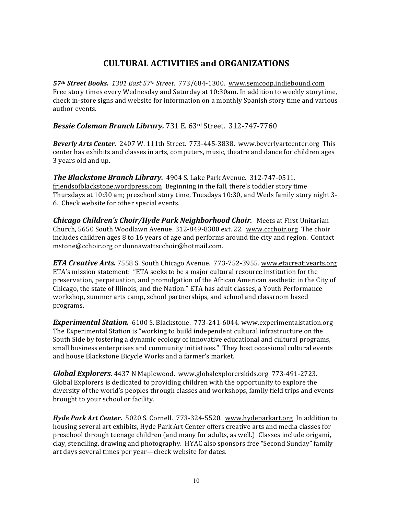## **CULTURAL ACTIVITIES and ORGANIZATIONS**

*57th Street Books. 1301 East 57th Street*. 773/684-1300. www.semcoop.indiebound.com Free story times every Wednesday and Saturday at 10:30am. In addition to weekly storytime, check in-store signs and website for information on a monthly Spanish story time and various author events.

**Bessie Coleman Branch Library.** 731 E. 63rd Street. 312-747-7760

**Beverly Arts Center.** 2407 W. 111th Street. 773-445-3838. www.beverlyartcenter.org This center has exhibits and classes in arts, computers, music, theatre and dance for children ages 3 years old and up.

**The Blackstone Branch Library.** 4904 S. Lake Park Avenue. 312-747-0511. friendsofblackstone.wordpress.com Beginning in the fall, there's toddler story time Thursdays at  $10:30$  am; preschool story time, Tuesdays  $10:30$ , and Weds family story night 3-6. Check website for other special events.

**Chicago Children's Choir/Hyde Park Neighborhood Choir.** Meets at First Unitarian Church, 5650 South Woodlawn Avenue. 312-849-8300 ext. 22. www.ccchoir.org The choir includes children ages  $8$  to  $16$  years of age and performs around the city and region. Contact mstone@cchoir.org or donnawattscchoir@hotmail.com.

*ETA Creative Arts.* 7558 S. South Chicago Avenue. 773-752-3955. www.etacreativearts.org ETA's mission statement: "ETA seeks to be a major cultural resource institution for the preservation, perpetuation, and promulgation of the African American aesthetic in the City of Chicago, the state of Illinois, and the Nation." ETA has adult classes, a Youth Performance workshop, summer arts camp, school partnerships, and school and classroom based programs.

**Experimental Station.** 6100 S. Blackstone. 773-241-6044. www.experimentalstation.org The Experimental Station is "working to build independent cultural infrastructure on the South Side by fostering a dynamic ecology of innovative educational and cultural programs, small business enterprises and community initiatives." They host occasional cultural events and house Blackstone Bicycle Works and a farmer's market.

*Global Explorers.* 4437 N Maplewood. www.globalexplorerskids.org 773-491-2723. Global Explorers is dedicated to providing children with the opportunity to explore the diversity of the world's peoples through classes and workshops, family field trips and events brought to your school or facility.

*Hyde Park Art Center.* 5020 S. Cornell. 773-324-5520. www.hydeparkart.org In addition to housing several art exhibits, Hyde Park Art Center offers creative arts and media classes for preschool through teenage children (and many for adults, as well.) Classes include origami, clay, stenciling, drawing and photography. HYAC also sponsors free "Second Sunday" family art days several times per year—check website for dates.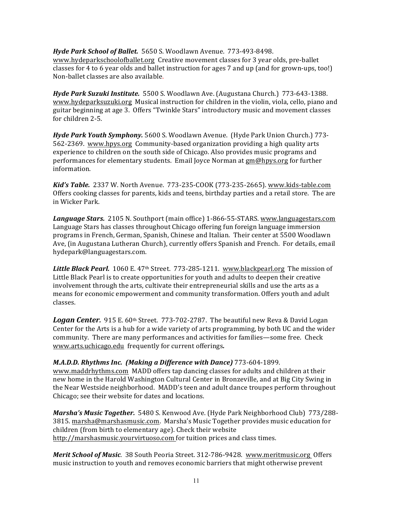Hyde Park School of Ballet. 5650 S. Woodlawn Avenue. 773-493-8498. www.hydeparkschoolofballet.org Creative movement classes for 3 year olds, pre-ballet classes for 4 to 6 year olds and ballet instruction for ages 7 and up (and for grown-ups, too!) Non-ballet classes are also available.

Hyde Park Suzuki Institute. 5500 S. Woodlawn Ave. (Augustana Church.) 773-643-1388. www.hydeparksuzuki.org Musical instruction for children in the violin, viola, cello, piano and guitar beginning at age 3. Offers "Twinkle Stars" introductory music and movement classes for children 2-5.

*Hyde Park Youth Symphony.* 5600 S. Woodlawn Avenue. (Hyde Park Union Church.) 773-562-2369. www.hpys.org Community-based organization providing a high quality arts experience to children on the south side of Chicago. Also provides music programs and performances for elementary students. Email Joyce Norman at gm@hpys.org for further information.

*Kid's Table.* 2337 W. North Avenue. 773-235-COOK (773-235-2665). www.kids-table.com Offers cooking classes for parents, kids and teens, birthday parties and a retail store. The are in Wicker Park.

**Language Stars.** 2105 N. Southport (main office) 1-866-55-STARS. www.languagestars.com Language Stars has classes throughout Chicago offering fun foreign language immersion programs in French, German, Spanish, Chinese and Italian. Their center at 5500 Woodlawn Ave, (in Augustana Lutheran Church), currently offers Spanish and French. For details, email hydepark@languagestars.com.

**Little Black Pearl.** 1060 E. 47<sup>th</sup> Street. 773-285-1211. www.blackpearl.org The mission of Little Black Pearl is to create opportunities for youth and adults to deepen their creative involvement through the arts, cultivate their entrepreneurial skills and use the arts as a means for economic empowerment and community transformation. Offers youth and adult classes.

**Logan Center.** 915 E. 60<sup>th</sup> Street. 773-702-2787. The beautiful new Reva & David Logan Center for the Arts is a hub for a wide variety of arts programming, by both UC and the wider community. There are many performances and activities for families—some free. Check www.arts.uchicago.edu frequently for current offerings.

#### *M.A.D.D. Rhythms Inc. (Making a Difference with Dance)* 773-604-1899.

www.maddrhythms.com MADD offers tap dancing classes for adults and children at their new home in the Harold Washington Cultural Center in Bronzeville, and at Big City Swing in the Near Westside neighborhood. MADD's teen and adult dance troupes perform throughout Chicago; see their website for dates and locations.

Marsha's Music Together. 5480 S. Kenwood Ave. (Hyde Park Neighborhood Club) 773/288-3815. marsha@marshasmusic.com. Marsha's Music Together provides music education for children (from birth to elementary age). Check their website http://marshasmusic.yourvirtuoso.com for tuition prices and class times.

**Merit School of Music.** 38 South Peoria Street. 312-786-9428. www.meritmusic.org Offers music instruction to youth and removes economic barriers that might otherwise prevent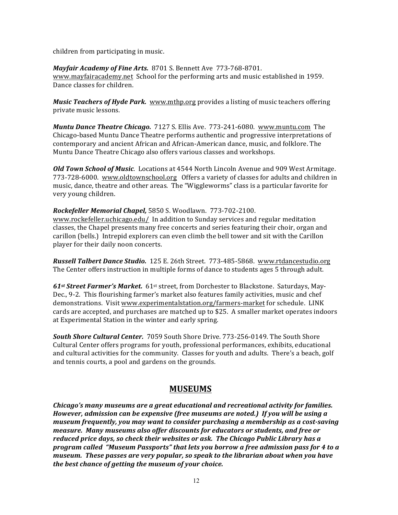children from participating in music.

*Mayfair Academy of Fine Arts.* 8701 S. Bennett Ave 773-768-8701. www.mayfairacademy.net School for the performing arts and music established in 1959. Dance classes for children.

*Music Teachers of Hyde Park.* www.mthp.org provides a listing of music teachers offering private music lessons.

*Muntu Dance Theatre Chicago.* 7127 S. Ellis Ave. 773-241-6080. www.muntu.com The Chicago-based Muntu Dance Theatre performs authentic and progressive interpretations of contemporary and ancient African and African-American dance, music, and folklore. The Muntu Dance Theatre Chicago also offers various classes and workshops.

*Old Town School of Music.* Locations at 4544 North Lincoln Avenue and 909 West Armitage. 773-728-6000. www.oldtownschool.org Offers a variety of classes for adults and children in music, dance, theatre and other areas. The "Wiggleworms" class is a particular favorite for very young children.

Rockefeller Memorial Chapel, 5850 S. Woodlawn. 773-702-2100. www.rockefeller.uchicago.edu/ In addition to Sunday services and regular meditation classes, the Chapel presents many free concerts and series featuring their choir, organ and carillon (bells.) Intrepid explorers can even climb the bell tower and sit with the Carillon player for their daily noon concerts.

**Russell Talbert Dance Studio.** 125 E. 26th Street. 773-485-5868. www.rtdancestudio.org The Center offers instruction in multiple forms of dance to students ages 5 through adult.

61<sup>st</sup> Street Farmer's Market. 61<sup>st</sup> street, from Dorchester to Blackstone. Saturdays, May-Dec., 9-2. This flourishing farmer's market also features family activities, music and chef demonstrations. Visit www.experimentalstation.org/farmers-market for schedule. LINK cards are accepted, and purchases are matched up to \$25. A smaller market operates indoors at Experimental Station in the winter and early spring.

South Shore Cultural Center. 7059 South Shore Drive. 773-256-0149. The South Shore Cultural Center offers programs for youth, professional performances, exhibits, educational and cultural activities for the community. Classes for youth and adults. There's a beach, golf and tennis courts, a pool and gardens on the grounds.

## **MUSEUMS**

*Chicago's* many museums are a great educational and recreational activity for families. *However, admission can be expensive (free museums are noted.) If you will be using a museum frequently, you may want to consider purchasing a membership as a cost-saving measure. Many museums also offer discounts for educators or students, and free or*  reduced price days, so check their websites or ask. The Chicago Public Library has a *program called "Museum Passports" that lets you borrow a free admission pass for 4 to a museum.* These passes are very popular, so speak to the librarian about when you have *the best chance of getting the museum of your choice.*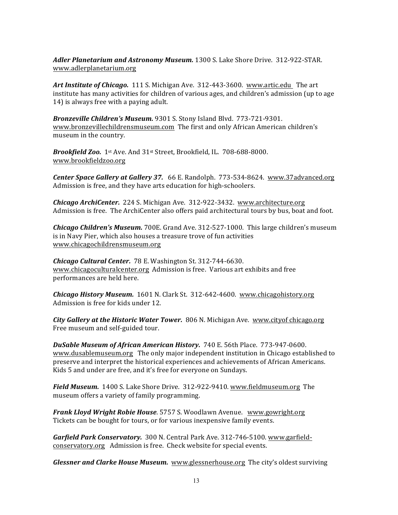Adler Planetarium and Astronomy Museum. 1300 S. Lake Shore Drive. 312-922-STAR. www.adlerplanetarium.org

**Art Institute of Chicago.** 111 S. Michigan Ave. 312-443-3600. www.artic.edu The art institute has many activities for children of various ages, and children's admission (up to age 14) is always free with a paying adult.

*Bronzeville Children's Museum.* 9301 S. Stony Island Blvd. 773-721-9301. www.bronzevillechildrensmuseum.com The first and only African American children's museum in the country.

**Brookfield Zoo.** 1st Ave. And 31st Street, Brookfield, IL. 708-688-8000. www.brookfieldzoo.org 

**Center Space Gallery at Gallery 37.** 66 E. Randolph. 773-534-8624. www.37advanced.org Admission is free, and they have arts education for high-schoolers.

**Chicago ArchiCenter.** 224 S. Michigan Ave. 312-922-3432. www.architecture.org Admission is free. The ArchiCenter also offers paid architectural tours by bus, boat and foot.

**Chicago Children's Museum.** 700E. Grand Ave. 312-527-1000. This large children's museum is in Navy Pier, which also houses a treasure trove of fun activities www.chicagochildrensmuseum.org

**Chicago Cultural Center.** 78 E. Washington St. 312-744-6630. www.chicagoculturalcenter.org Admission is free. Various art exhibits and free performances are held here.

**Chicago History Museum.** 1601 N. Clark St. 312-642-4600. www.chicagohistory.org Admission is free for kids under 12.

*City Gallery at the Historic Water Tower.* 806 N. Michigan Ave. www.cityof chicago.org Free museum and self-guided tour.

**DuSable Museum of African American History.** 740 E. 56th Place. 773-947-0600. www.dusablemuseum.org The only major independent institution in Chicago established to preserve and interpret the historical experiences and achievements of African Americans. Kids 5 and under are free, and it's free for everyone on Sundays.

**Field Museum.** 1400 S. Lake Shore Drive. 312-922-9410. www.fieldmuseum.org The museum offers a variety of family programming.

*Frank Lloyd Wright Robie House.* 5757 S. Woodlawn Avenue. www.gowright.org Tickets can be bought for tours, or for various inexpensive family events.

*Garfield Park Conservatory.* 300 N. Central Park Ave. 312-746-5100. www.garfieldconservatory.org Admission is free. Check website for special events.

**Glessner and Clarke House Museum.** www.glessnerhouse.org The city's oldest surviving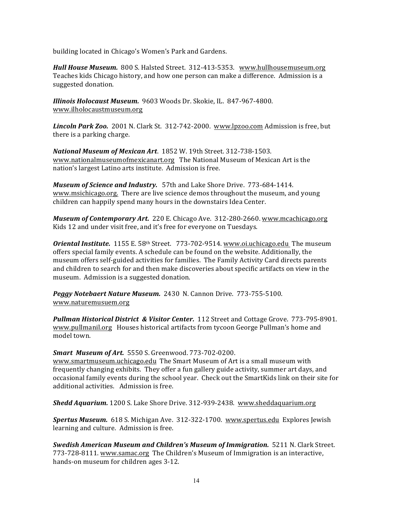building located in Chicago's Women's Park and Gardens.

Hull House Museum. 800 S. Halsted Street. 312-413-5353. www.hullhousemuseum.org Teaches kids Chicago history, and how one person can make a difference. Admission is a suggested donation.

*Illinois Holocaust Museum.* 9603 Woods Dr. Skokie, IL. 847-967-4800. www.ilholocaustmuseum.org

Lincoln Park Zoo. 2001 N. Clark St. 312-742-2000. www.lpzoo.com Admission is free, but there is a parking charge.

**National Museum of Mexican Art.** 1852 W. 19th Street. 312-738-1503. www.nationalmuseumofmexicanart.org The National Museum of Mexican Art is the nation's largest Latino arts institute. Admission is free.

*Museum of Science and Industry.* 57th and Lake Shore Drive. 773-684-1414. www.msichicago.org. There are live science demos throughout the museum, and young children can happily spend many hours in the downstairs Idea Center.

*Museum of Contemporary Art.* 220 E. Chicago Ave. 312-280-2660. www.mcachicago.org Kids 12 and under visit free, and it's free for everyone on Tuesdays.

**Oriental Institute.** 1155 E. 58<sup>th</sup> Street. 773-702-9514. www.oi.uchicago.edu The museum offers special family events. A schedule can be found on the website. Additionally, the museum offers self-guided activities for families. The Family Activity Card directs parents and children to search for and then make discoveries about specific artifacts on view in the museum. Admission is a suggested donation.

**Peggy Notebaert Nature Museum.** 2430 N. Cannon Drive. 773-755-5100. www.naturemusuem.org

**Pullman Historical District & Visitor Center.** 112 Street and Cottage Grove. 773-795-8901. www.pullmanil.org Houses historical artifacts from tycoon George Pullman's home and model town.

#### *Smart Museum of Art.* 5550 S. Greenwood. 773-702-0200.

www.smartmuseum.uchicago.edu The Smart Museum of Art is a small museum with frequently changing exhibits. They offer a fun gallery guide activity, summer art days, and occasional family events during the school year. Check out the SmartKids link on their site for additional activities. Admission is free.

**Shedd Aquarium.** 1200 S. Lake Shore Drive. 312-939-2438. www.sheddaquarium.org

**Spertus Museum.** 618 S. Michigan Ave. 312-322-1700. www.spertus.edu Explores Jewish learning and culture. Admission is free.

*Swedish American Museum and Children's Museum of Immigration.* 5211 N. Clark Street. 773-728-8111. www.samac.org The Children's Museum of Immigration is an interactive, hands-on museum for children ages 3-12.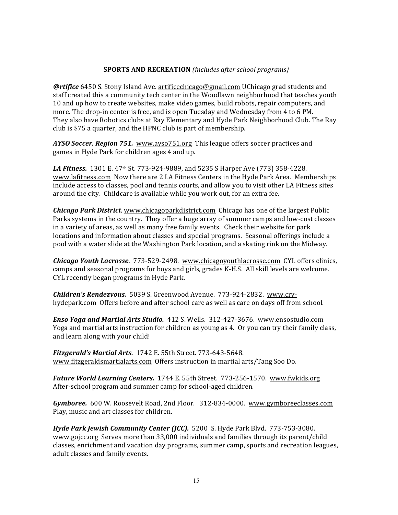#### **SPORTS AND RECREATION** *(includes after school programs)*

*@rtifice* 6450 S. Stony Island Ave. artificechicago@gmail.com UChicago grad students and staff created this a community tech center in the Woodlawn neighborhood that teaches youth 10 and up how to create websites, make video games, build robots, repair computers, and more. The drop-in center is free, and is open Tuesday and Wednesday from 4 to 6 PM. They also have Robotics clubs at Ray Elementary and Hyde Park Neighborhood Club. The Ray club is \$75 a quarter, and the HPNC club is part of membership.

*AYSO Soccer, Region 751.* www.ayso751.org This league offers soccer practices and games in Hyde Park for children ages 4 and up.

**LA Fitness.** 1301 E. 47<sup>th</sup> St. 773-924-9889, and 5235 S Harper Ave (773) 358-4228. www.lafitness.com Now there are 2 LA Fitness Centers in the Hyde Park Area. Memberships include access to classes, pool and tennis courts, and allow you to visit other LA Fitness sites around the city. Childcare is available while you work out, for an extra fee.

**Chicago Park District.** www.chicagoparkdistrict.com Chicago has one of the largest Public Parks systems in the country. They offer a huge array of summer camps and low-cost classes in a variety of areas, as well as many free family events. Check their website for park locations and information about classes and special programs. Seasonal offerings include a pool with a water slide at the Washington Park location, and a skating rink on the Midway.

**Chicago Youth Lacrosse.** 773-529-2498. *www.chicagoyouthlacrosse.com* CYL offers clinics, camps and seasonal programs for boys and girls, grades K-H.S. All skill levels are welcome. CYL recently began programs in Hyde Park.

*Children's Rendezvous.* 5039 S. Greenwood Avenue. 773-924-2832. www.crvhydepark.com Offers before and after school care as well as care on days off from school.

*Enso Yoga and Martial Arts Studio.* 412 S. Wells. 312-427-3676. www.ensostudio.com Yoga and martial arts instruction for children as young as 4. Or you can try their family class, and learn along with your child!

**Fitzgerald's Martial Arts.** 1742 E. 55th Street. 773-643-5648. www.fitzgeraldsmartialarts.com Offers instruction in martial arts/Tang Soo Do.

Future World Learning Centers. 1744 E. 55th Street. 773-256-1570. www.fwkids.org After-school program and summer camp for school-aged children.

Gymboree. 600 W. Roosevelt Road, 2nd Floor. 312-834-0000. www.gymboreeclasses.com Play, music and art classes for children.

Hyde Park Jewish Community Center (JCC). 5200 S. Hyde Park Blvd. 773-753-3080. www.gojcc.org Serves more than 33,000 individuals and families through its parent/child classes, enrichment and vacation day programs, summer camp, sports and recreation leagues, adult classes and family events.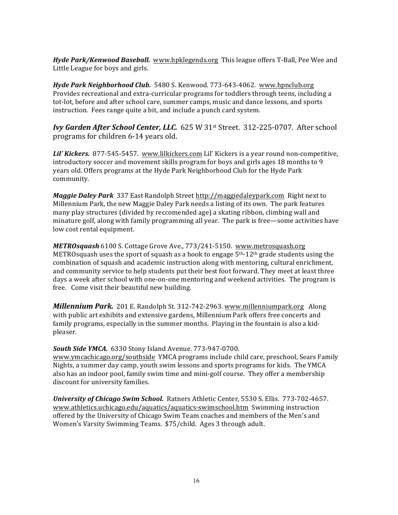**Hyde Park/Kenwood Baseball.** www.hpklegends.org This league offers T-Ball, Pee Wee and Little League for boys and girls.

Hyde Park Neighborhood Club. 5480 S. Kenwood. 773-643-4062. www.hpnclub.org Provides recreational and extra-curricular programs for toddlers through teens, including a tot-lot, before and after school care, summer camps, music and dance lessons, and sports instruction. Fees range quite a bit, and include a punch card system.

**Ivy Garden After School Center, LLC.** 625 W 31<sup>st</sup> Street. 312-225-0707. After school programs for children 6-14 years old.

Lil' Kickers. 877-545-5457. www.lilkickers.com Lil' Kickers is a year round non-competitive, introductory soccer and movement skills program for boys and girls ages  $18$  months to  $9$ years old. Offers programs at the Hyde Park Neighborhood Club for the Hyde Park community.

*Maggie Daley Park* 337 East Randolph Street http://maggiedaleypark.com Right next to Millennium Park, the new Maggie Daley Park needs a listing of its own. The park features many play structures (divided by reccomended age) a skating ribbon, climbing wall and minature golf, along with family programming all year. The park is free—some activities have low cost rental equipment.

**METROsquash** 6100 S. Cottage Grove Ave., 773/241-5150. www.metrosquash.org METROsquash uses the sport of squash as a hook to engage  $5<sup>th-12<sup>th</sup></sup>$  grade students using the combination of squash and academic instruction along with mentoring, cultural enrichment, and community service to help students put their best foot forward. They meet at least three days a week after school with one-on-one mentoring and weekend activities. The program is free. Come visit their beautiful new building.

*Millennium Park.* 201 E. Randolph St. 312-742-2963. www.millenniumpark.org Along with public art exhibits and extensive gardens, Millennium Park offers free concerts and family programs, especially in the summer months. Playing in the fountain is also a kidpleaser.

#### **South Side YMCA.** 6330 Stony Island Avenue. 773-947-0700.

www.ymcachicago.org/southside YMCA programs include child care, preschool, Sears Family Nights, a summer day camp, youth swim lessons and sports programs for kids. The YMCA also has an indoor pool, family swim time and mini-golf course. They offer a membership discount for university families.

**University of Chicago Swim School.** Ratners Athletic Center, 5530 S. Ellis. 773-702-4657. www.athletics.uchicago.edu/aquatics/aquatics-swimschool.htm Swimming instruction offered by the University of Chicago Swim Team coaches and members of the Men's and Women's Varsity Swimming Teams. \$75/child. Ages 3 through adult.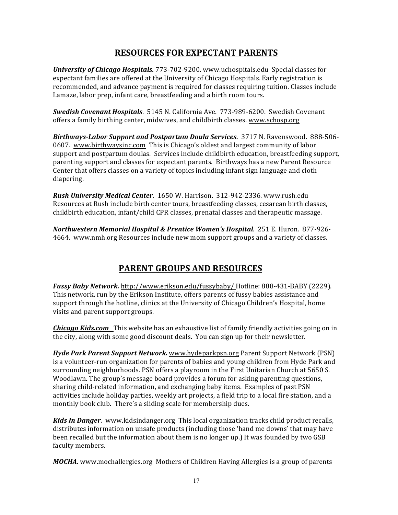## **RESOURCES FOR EXPECTANT PARENTS**

**University of Chicago Hospitals.** 773-702-9200. www.uchospitals.edu Special classes for expectant families are offered at the University of Chicago Hospitals. Early registration is recommended, and advance payment is required for classes requiring tuition. Classes include Lamaze, labor prep, infant care, breastfeeding and a birth room tours.

**Swedish Covenant Hospitals.** 5145 N. California Ave. 773-989-6200. Swedish Covenant offers a family birthing center, midwives, and childbirth classes. www.schosp.org

**Birthways-Labor Support and Postpartum Doula Services.** 3717 N. Ravenswood. 888-506-0607. www.birthwaysinc.com This is Chicago's oldest and largest community of labor support and postpartum doulas. Services include childbirth education, breastfeeding support, parenting support and classes for expectant parents. Birthways has a new Parent Resource Center that offers classes on a variety of topics including infant sign language and cloth diapering.

*Rush University Medical Center.* 1650 W. Harrison.312-942-2336. www.rush.edu Resources at Rush include birth center tours, breastfeeding classes, cesarean birth classes, childbirth education, infant/child CPR classes, prenatal classes and therapeutic massage.

*Northwestern Memorial Hospital & Prentice Women's Hospital*. 251 E. Huron.877-926- 4664. www.nmh.org Resources include new mom support groups and a variety of classes.

## **PARENT GROUPS AND RESOURCES**

*Fussy Baby Network.* http://www.erikson.edu/fussybaby/ Hotline: 888-431-BABY (2229). This network, run by the Erikson Institute, offers parents of fussy babies assistance and support through the hotline, clinics at the University of Chicago Children's Hospital, home visits and parent support groups.

**Chicago Kids.com** This website has an exhaustive list of family friendly activities going on in the city, along with some good discount deals. You can sign up for their newsletter.

**Hyde Park Parent Support Network.** www.hydeparkpsn.org Parent Support Network (PSN) is a volunteer-run organization for parents of babies and young children from Hyde Park and surrounding neighborhoods. PSN offers a playroom in the First Unitarian Church at 5650 S. Woodlawn. The group's message board provides a forum for asking parenting questions, sharing child-related information, and exchanging baby items. Examples of past PSN activities include holiday parties, weekly art projects, a field trip to a local fire station, and a monthly book club. There's a sliding scale for membership dues.

*Kids In Danger.* www.kidsindanger.org This local organization tracks child product recalls, distributes information on unsafe products (including those 'hand me downs' that may have been recalled but the information about them is no longer up.) It was founded by two GSB faculty members.

*MOCHA.* www.mochallergies.org Mothers of Children Having Allergies is a group of parents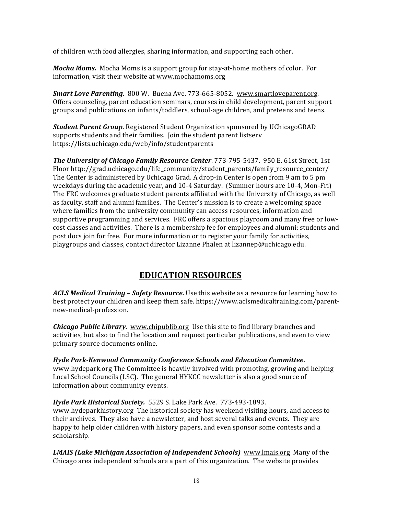of children with food allergies, sharing information, and supporting each other.

*Mocha Moms.* Mocha Moms is a support group for stay-at-home mothers of color. For information, visit their website at www.mochamoms.org

**Smart Love Parenting.** 800 W. Buena Ave. 773-665-8052. www.smartloveparent.org. Offers counseling, parent education seminars, courses in child development, parent support groups and publications on infants/toddlers, school-age children, and preteens and teens.

*Student Parent Group.* Registered Student Organization sponsored by UChicagoGRAD supports students and their families. Join the student parent listserv https://lists.uchicago.edu/web/info/studentparents

**The University of Chicago Family Resource Center**. 773-795-5437. 950 E. 61st Street, 1st Floor http://grad.uchicago.edu/life\_community/student\_parents/family\_resource\_center/ The Center is administered by Uchicago Grad. A drop-in Center is open from 9 am to 5 pm weekdays during the academic year, and 10-4 Saturday. (Summer hours are 10-4, Mon-Fri) The FRC welcomes graduate student parents affiliated with the University of Chicago, as well as faculty, staff and alumni families. The Center's mission is to create a welcoming space where families from the university community can access resources, information and supportive programming and services. FRC offers a spacious playroom and many free or lowcost classes and activities. There is a membership fee for employees and alumni; students and post docs join for free. For more information or to register your family for activities, playgroups and classes, contact director Lizanne Phalen at lizannep@uchicago.edu.

## **EDUCATION RESOURCES**

**ACLS Medical Training – Safety Resource.** Use this website as a resource for learning how to best protect your children and keep them safe. https://www.aclsmedicaltraining.com/parentnew-medical-profession.

**Chicago Public Library.** www.chipublib.org Use this site to find library branches and activities, but also to find the location and request particular publications, and even to view primary source documents online.

*Hyde Park-Kenwood Community Conference Schools and Education Committee.* www.hydepark.org The Committee is heavily involved with promoting, growing and helping Local School Councils (LSC). The general HYKCC newsletter is also a good source of information about community events.

Hyde Park Historical Society. 5529 S. Lake Park Ave. 773-493-1893. www.hydeparkhistory.org The historical society has weekend visiting hours, and access to their archives. They also have a newsletter, and host several talks and events. They are happy to help older children with history papers, and even sponsor some contests and a scholarship.

**LMAIS (Lake Michigan Association of Independent Schools)** www.lmais.org Many of the Chicago area independent schools are a part of this organization. The website provides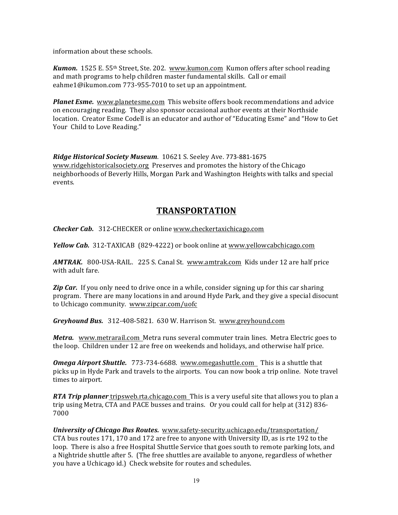information about these schools.

*Kumon.* 1525 E. 55<sup>th</sup> Street, Ste. 202. www.kumon.com Kumon offers after school reading and math programs to help children master fundamental skills. Call or email eahme1@ikumon.com 773-955-7010 to set up an appointment.

**Planet Esme.** www.planetesme.com This website offers book recommendations and advice on encouraging reading. They also sponsor occasional author events at their Northside location. Creator Esme Codell is an educator and author of "Educating Esme" and "How to Get Your Child to Love Reading."

Ridge Historical Society Museum. 10621 S. Seeley Ave. 773-881-1675 www.ridgehistoricalsociety.org Preserves and promotes the history of the Chicago neighborhoods of Beverly Hills, Morgan Park and Washington Heights with talks and special events.

## **TRANSPORTATION**

**Checker Cab.** 312-CHECKER or online www.checkertaxichicago.com

*Yellow Cab.* 312-TAXICAB (829-4222) or book online at www.yellowcabchicago.com

*AMTRAK.* 800-USA-RAIL. 225 S. Canal St. www.amtrak.com Kids under 12 are half price with adult fare.

**Zip Car.** If you only need to drive once in a while, consider signing up for this car sharing program. There are many locations in and around Hyde Park, and they give a special disocunt to Uchicago community. www.zipcar.com/uofc

*Greyhound Bus.* 312-408-5821. 630 W. Harrison St. www.greyhound.com

*Metra.* www.metrarail.com Metra runs several commuter train lines. Metra Electric goes to the loop. Children under 12 are free on weekends and holidays, and otherwise half price.

**Omega Airport Shuttle.** 773-734-6688. www.omegashuttle.com This is a shuttle that picks up in Hyde Park and travels to the airports. You can now book a trip online. Note travel times to airport.

*RTA Trip planner* tripsweb.rta.chicago.com This is a very useful site that allows you to plan a trip using Metra, CTA and PACE busses and trains. Or you could call for help at  $(312)$  836-7000

*University of Chicago Bus Routes.* www.safety-security.uchicago.edu/transportation/ CTA bus routes  $171$ ,  $170$  and  $172$  are free to anyone with University ID, as is rte  $192$  to the loop. There is also a free Hospital Shuttle Service that goes south to remote parking lots, and a Nightride shuttle after 5. (The free shuttles are available to anyone, regardless of whether you have a Uchicago id.) Check website for routes and schedules.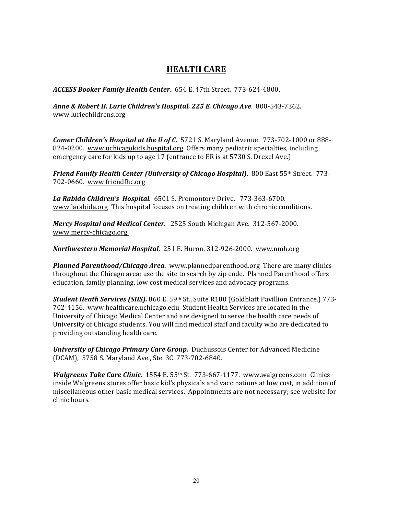## **HEALTH CARE**

*ACCESS Booker Family Health Center***.** 654 E. 47th Street. 773-624-4800.

*Anne & Robert H. Lurie Children's Hospital. 225 E. Chicago Ave*. 800-543-7362. www.luriechildrens.org 

**Comer Children's Hospital at the U of C.** 5721 S. Maryland Avenue. 773-702-1000 or 888-824-0200. www.uchicagokids.hospital.org Offers many pediatric specialties, including emergency care for kids up to age 17 (entrance to ER is at 5730 S. Drexel Ave.)

**Friend Family Health Center (University of Chicago Hospital).** 800 East 55th Street. 773-702-0660. www.friendfhc.org

La Rabida Children's Hospital. 6501 S. Promontory Drive. 773-363-6700. www.larabida.org This hospital focuses on treating children with chronic conditions.

*Mercy Hospital and Medical Center.* 2525 South Michigan Ave. 312-567-2000. www.mercy-chicago.org.

**Northwestern Memorial Hospital.** 251 E. Huron. 312-926-2000. www.nmh.org

**Planned Parenthood/Chicago Area.** www.plannedparenthood.org There are many clinics throughout the Chicago area; use the site to search by zip code. Planned Parenthood offers education, family planning, low cost medical services and advocacy programs.

**Student Heath Services (SHS).** 860 E. 59th St., Suite R100 (Goldblatt Pavillion Entrance.) 773-702-4156. www.healthcare.uchicago.edu Student Health Services are located in the University of Chicago Medical Center and are designed to serve the health care needs of University of Chicago students. You will find medical staff and faculty who are dedicated to providing outstanding health care.

*University of Chicago Primary Care Group.* Duchussois Center for Advanced Medicine (DCAM), 5758 S. Maryland Ave., Ste. 3C 773-702-6840.

*Walgreens Take Care Clinic.* 1554 E. 55<sup>th</sup> St. 773-667-1177. www.walgreens.com Clinics inside Walgreens stores offer basic kid's physicals and vaccinations at low cost, in addition of miscellaneous other basic medical services. Appointments are not necessary; see website for clinic hours.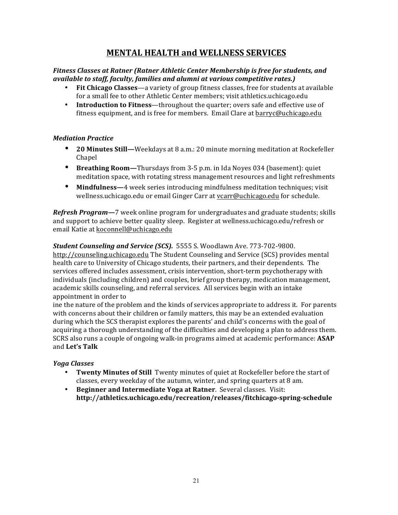## **MENTAL HEALTH and WELLNESS SERVICES**

#### Fitness Classes at Ratner (Ratner Athletic Center Membership is free for students, and *available to staff, faculty, families and alumni at various competitive rates.)*

- **Fit Chicago Classes**—a variety of group fitness classes, free for students at available for a small fee to other Athletic Center members; visit athletics.uchicago.edu
- Introduction to Fitness—throughout the quarter; overs safe and effective use of fitness equipment, and is free for members. Email Clare at barryc@uchicago.edu

#### *Mediation Practice*

- **20 Minutes Still—**Weekdays at 8 a.m.: 20 minute morning meditation at Rockefeller Chapel
- Breathing Room-Thursdays from 3-5 p.m. in Ida Noyes 034 (basement): quiet meditation space, with rotating stress management resources and light refreshments
- **Mindfulness**—4 week series introducing mindfulness meditation techniques; visit wellness.uchicago.edu or email Ginger Carr at vcarr@uchicago.edu for schedule.

*Refresh Program***—**7 week online program for undergraduates and graduate students; skills and support to achieve better quality sleep. Register at wellness.uchicago.edu/refresh or email Katie at koconnell@uchicago.edu

**Student Counseling and Service (SCS).** 5555 S. Woodlawn Ave. 773-702-9800. http://counseling.uchicago.edu The Student Counseling and Service (SCS) provides mental health care to University of Chicago students, their partners, and their dependents. The services offered includes assessment, crisis intervention, short-term psychotherapy with individuals (including children) and couples, brief group therapy, medication management, academic skills counseling, and referral services. All services begin with an intake appointment in order to

ine the nature of the problem and the kinds of services appropriate to address it. For parents with concerns about their children or family matters, this may be an extended evaluation during which the SCS therapist explores the parents' and child's concerns with the goal of acquiring a thorough understanding of the difficulties and developing a plan to address them. SCRS also runs a couple of ongoing walk-in programs aimed at academic performance: **ASAP** and **Let's Talk**

#### *Yoga Classes*

- Twenty Minutes of Still Twenty minutes of quiet at Rockefeller before the start of classes, every weekday of the autumn, winter, and spring quarters at  $8$  am.
- Beginner and Intermediate Yoga at Ratner. Several classes. Visit: **http://athletics.uchicago.edu/recreation/releases/fitchicago-spring-schedule**